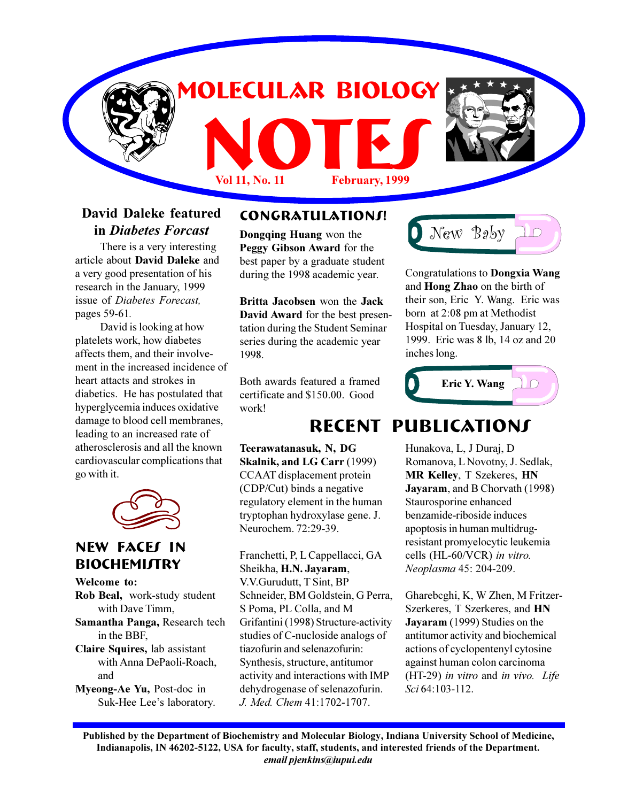

### **David Daleke featured in** *Diabetes Forcast*

There is a very interesting article about **David Daleke** and a very good presentation of his research in the January, 1999 issue of *Diabetes Forecast,* pages 59-61*.*

David is looking at how platelets work, how diabetes affects them, and their involvement in the increased incidence of heart attacts and strokes in diabetics. He has postulated that hyperglycemia induces oxidative damage to blood cell membranes, leading to an increased rate of atherosclerosis and all the known cardiovascular complications that go with it.



### **New Faces in BIOCHEMIJTRY**

**Welcome to: Rob Beal,** work-study student with Dave Timm, **Samantha Panga,** Research tech in the BBF,

**Claire Squires,** lab assistant with Anna DePaoli-Roach, and

**Myeong-Ae Yu,** Post-doc in Suk-Hee Lee's laboratory.

### **Congratulations!**

**Dongqing Huang** won the **Peggy Gibson Award** for the best paper by a graduate student during the 1998 academic year.

**Britta Jacobsen** won the **Jack David Award** for the best presentation during the Student Seminar series during the academic year 1998.

Both awards featured a framed certificate and \$150.00. Good work!

**Teerawatanasuk, N, DG Skalnik, and LG Carr** (1999) CCAAT displacement protein (CDP/Cut) binds a negative regulatory element in the human tryptophan hydroxylase gene. J. Neurochem. 72:29-39.

Franchetti, P, L Cappellacci, GA Sheikha, **H.N. Jayaram**, V.V.Gurudutt, T Sint, BP Schneider, BM Goldstein, G Perra, S Poma, PL Colla, and M Grifantini (1998) Structure-activity studies of C-nucloside analogs of tiazofurin and selenazofurin: Synthesis, structure, antitumor activity and interactions with IMP dehydrogenase of selenazofurin. *J. Med. Chem* 41:1702-1707.

New Baby  $\bigcap$ 

Congratulations to **Dongxia Wang** and **Hong Zhao** on the birth of their son, Eric Y. Wang. Eric was born at 2:08 pm at Methodist Hospital on Tuesday, January 12, 1999. Eric was 8 lb, 14 oz and 20 inches long.



## **Recent Publications**

Hunakova, L, J Duraj, D Romanova, L Novotny, J. Sedlak, **MR Kelley**, T Szekeres, **HN Jayaram**, and B Chorvath (1998) Staurosporine enhanced benzamide-riboside induces apoptosis in human multidrugresistant promyelocytic leukemia cells (HL-60/VCR) *in vitro. Neoplasma* 45: 204-209.

Gharebcghi, K, W Zhen, M Fritzer-Szerkeres, T Szerkeres, and **HN Jayaram** (1999) Studies on the antitumor activity and biochemical actions of cyclopentenyl cytosine against human colon carcinoma (HT-29) *in vitro* and *in vivo. Life Sci* 64:103-112.

**Published by the Department of Biochemistry and Molecular Biology, Indiana University School of Medicine, Indianapolis, IN 46202-5122, USA for faculty, staff, students, and interested friends of the Department.** *email pjenkins@iupui.edu*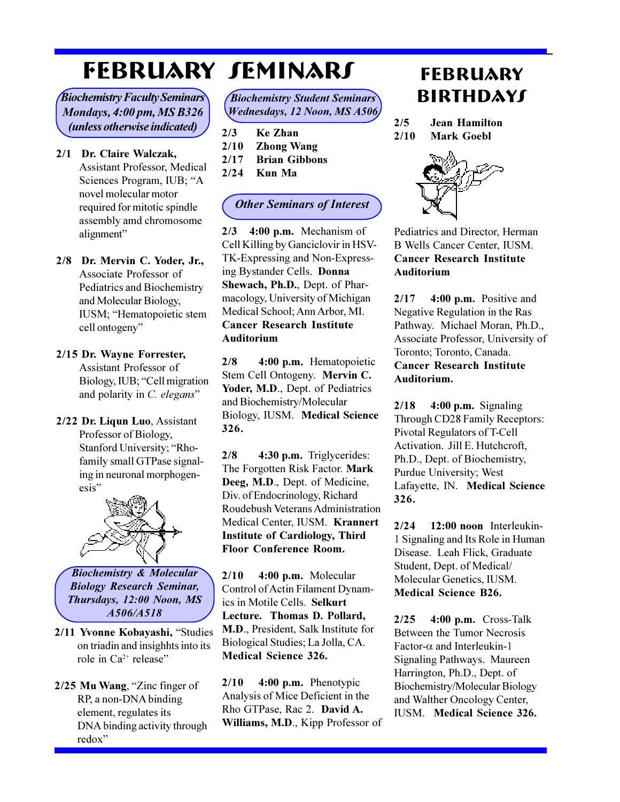# **FebrUARY Seminars**

*Biochemistry Faculty Seminars Mondays, 4:00 pm, MS B326 (unless otherwise indicated)*

- **2/1 Dr. Claire Walczak,** Assistant Professor, Medical Sciences Program, IUB; "A novel molecular motor required for mitotic spindle assembly amd chromosome alignment
- **2/8 Dr. Mervin C. Yoder, Jr.,** Associate Professor of Pediatrics and Biochemistry and Molecular Biology, IUSM; "Hematopoietic stem cell ontogeny

#### **2/15 Dr. Wayne Forrester,** Assistant Professor of

Biology, IUB; "Cell migration and polarity in *C. elegans*

**2/22 Dr. Liqun Luo**, Assistant Professor of Biology, Stanford University; "Rhofamily small GTPase signaling in neuronal morphogenesis



*Biochemistry & Molecular Biology Research Seminar, Thursdays, 12:00 Noon, MS A506/A518*

2/11 Yvonne Kobayashi, "Studies on triadin and insighhts into its role in  $Ca^{2+}$  release"

2/25 Mu Wang, "Zinc finger of RP, a non-DNA binding element, regulates its DNA binding activity through redox

| <b>Biochemistry Student Seminars</b> |  |
|--------------------------------------|--|
| <b>Wednesdays, 12 Noon, MS A506</b>  |  |

- **2/3 Ke Zhan 2/10 Zhong Wang**
- **2/17 Brian Gibbons**
- **2/24 Kun Ma**

### *Other Seminars of Interest*

**2/3 4:00 p.m.** Mechanism of Cell Killing by Ganciclovir in HSV-TK-Expressing and Non-Expressing Bystander Cells. **Donna Shewach, Ph.D.**, Dept. of Pharmacology, University of Michigan Medical School; Ann Arbor, MI. **Cancer Research Institute Auditorium**

**2/8 4:00 p.m.** Hematopoietic Stem Cell Ontogeny. **Mervin C.** Yoder, M.D., Dept. of Pediatrics and Biochemistry/Molecular Biology, IUSM. **Medical Science 326.**

**2/8 4:30 p.m.** Triglycerides: The Forgotten Risk Factor. **Mark Deeg, M.D**., Dept. of Medicine, Div. of Endocrinology, Richard Roudebush Veterans Administration Medical Center, IUSM. **Krannert Institute of Cardiology, Third Floor Conference Room.**

**2/10 4:00 p.m.** Molecular Control of Actin Filament Dynamics in Motile Cells. **Selkurt Lecture. Thomas D. Pollard, M.D**., President, Salk Institute for Biological Studies; La Jolla, CA. **Medical Science 326.**

**2/10 4:00 p.m.** Phenotypic Analysis of Mice Deficient in the Rho GTPase, Rac 2. **David A. Williams, M.D**., Kipp Professor of

## **FebrUARY Birthdays**

**2/5 Jean Hamilton 2/10 Mark Goebl**



Pediatrics and Director, Herman B Wells Cancer Center, IUSM. **Cancer Research Institute Auditorium**

**2/17 4:00 p.m.** Positive and Negative Regulation in the Ras Pathway. Michael Moran, Ph.D., Associate Professor, University of Toronto; Toronto, Canada. **Cancer Research Institute Auditorium.**

**2/18 4:00 p.m.** Signaling Through CD28 Family Receptors: Pivotal Regulators of T-Cell Activation. Jill E. Hutchcroft, Ph.D., Dept. of Biochemistry, Purdue University; West Lafayette, IN. **Medical Science 326.**

**2/24 12:00 noon** Interleukin-1 Signaling and Its Role in Human Disease. Leah Flick, Graduate Student, Dept. of Medical/ Molecular Genetics, IUSM. **Medical Science B26.**

**2/25 4:00 p.m.** Cross-Talk Between the Tumor Necrosis Factor- $\alpha$  and Interleukin-1 Signaling Pathways. Maureen Harrington, Ph.D., Dept. of Biochemistry/Molecular Biology and Walther Oncology Center, IUSM. **Medical Science 326.**